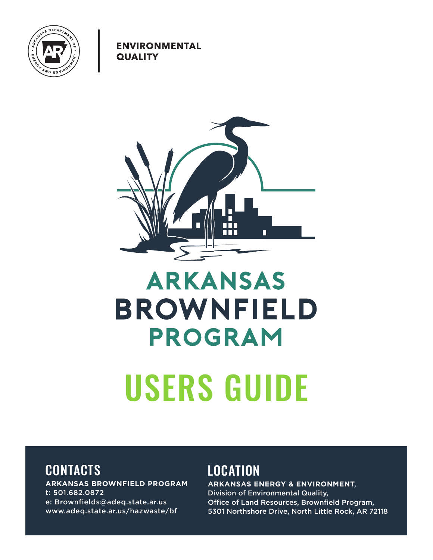

**ENVIRONMENTAL QUALITY** 



## **ARKANSAS BROWNFIELD** PROGRAM

# USERS GUIDE

### **CONTACTS**

**ARKANSAS BROWNFIELD PROGRAM** t: 501.682.0872 e: Brownfields@adeq.state.ar.us www.adeq.state.ar.us/hazwaste/bf

### LOCATION

**ARKANSAS ENERGY & ENVIRONMENT**, Division of Environmental Quality, Office of Land Resources, Brownfield Program, 5301 Northshore Drive, North Little Rock, AR 72118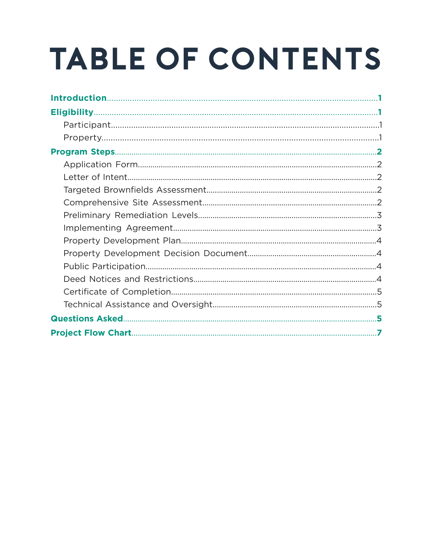# **TABLE OF CONTENTS**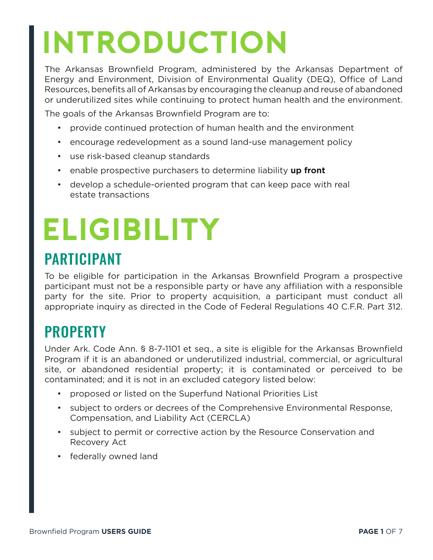## **INTRODUCTION**

The Arkansas Brownfield Program, administered by the Arkansas Department of Energy and Environment, Division of Environmental Quality (DEQ), Office of Land Resources, benefits all of Arkansas by encouraging the cleanup and reuse of abandoned or underutilized sites while continuing to protect human health and the environment.

The goals of the Arkansas Brownfield Program are to:

- provide continued protection of human health and the environment
- encourage redevelopment as a sound land-use management policy
- use risk-based cleanup standards
- enable prospective purchasers to determine liability **up front**
- develop a schedule-oriented program that can keep pace with real estate transactions

## **ELIGIBILITY** PARTICIPANT

#### To be eligible for participation in the Arkansas Brownfield Program a prospective participant must not be a responsible party or have any affiliation with a responsible party for the site. Prior to property acquisition, a participant must conduct all appropriate inquiry as directed in the Code of Federal Regulations 40 C.F.R. Part 312.

## **PROPERTY**

Under Ark. Code Ann. § 8-7-1101 et seq., a site is eligible for the Arkansas Brownfield Program if it is an abandoned or underutilized industrial, commercial, or agricultural site, or abandoned residential property; it is contaminated or perceived to be contaminated; and it is not in an excluded category listed below:

- proposed or listed on the Superfund National Priorities List
- subject to orders or decrees of the Comprehensive Environmental Response, Compensation, and Liability Act (CERCLA)
- subject to permit or corrective action by the Resource Conservation and Recovery Act
- federally owned land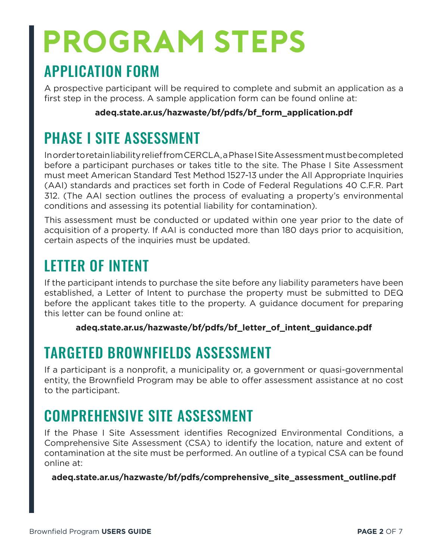## **PROGRAM STEPS**

## APPLICATION FORM

A prospective participant will be required to complete and submit an application as a first step in the process. A sample application form can be found online at:

#### **adeq.state.ar.us/hazwaste/bf/pdfs/bf\_form\_application.pdf**

## PHASE I SITE ASSESSMENT

In order to retain liability relief from CERCLA, a Phase I Site Assessment must be completed before a participant purchases or takes title to the site. The Phase I Site Assessment must meet American Standard Test Method 1527-13 under the All Appropriate Inquiries (AAI) standards and practices set forth in Code of Federal Regulations 40 C.F.R. Part 312. (The AAI section outlines the process of evaluating a property's environmental conditions and assessing its potential liability for contamination).

This assessment must be conducted or updated within one year prior to the date of acquisition of a property. If AAI is conducted more than 180 days prior to acquisition, certain aspects of the inquiries must be updated.

## LETTER OF INTENT

If the participant intends to purchase the site before any liability parameters have been established, a Letter of Intent to purchase the property must be submitted to DEQ before the applicant takes title to the property. A guidance document for preparing this letter can be found online at:

**adeq.state.ar.us/hazwaste/bf/pdfs/bf\_letter\_of\_intent\_guidance.pdf**

## TARGETED BROWNFIELDS ASSESSMENT

If a participant is a nonprofit, a municipality or, a government or quasi-governmental entity, the Brownfield Program may be able to offer assessment assistance at no cost to the participant.

## COMPREHENSIVE SITE ASSESSMENT

If the Phase I Site Assessment identifies Recognized Environmental Conditions, a Comprehensive Site Assessment (CSA) to identify the location, nature and extent of contamination at the site must be performed. An outline of a typical CSA can be found online at:

**adeq.state.ar.us/hazwaste/bf/pdfs/comprehensive\_site\_assessment\_outline.pdf**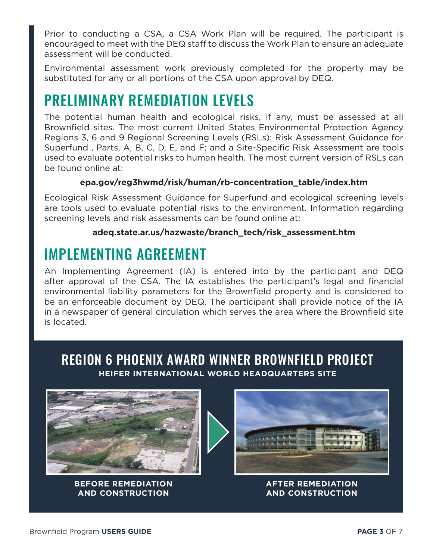Prior to conducting a CSA, a CSA Work Plan will be required. The participant is encouraged to meet with the DEQ staff to discuss the Work Plan to ensure an adequate assessment will be conducted.

Environmental assessment work previously completed for the property may be substituted for any or all portions of the CSA upon approval by DEQ.

## PRELIMINARY REMEDIATION LEVELS

The potential human health and ecological risks, if any, must be assessed at all Brownfield sites. The most current United States Environmental Protection Agency Regions 3, 6 and 9 Regional Screening Levels (RSLs); Risk Assessment Guidance for Superfund , Parts, A, B, C, D, E, and F; and a Site-Specific Risk Assessment are tools used to evaluate potential risks to human health. The most current version of RSLs can be found online at:

#### **epa.gov/reg3hwmd/risk/human/rb-concentration\_table/index.htm**

Ecological Risk Assessment Guidance for Superfund and ecological screening levels are tools used to evaluate potential risks to the environment. Information regarding screening levels and risk assessments can be found online at:

#### **adeq.state.ar.us/hazwaste/branch\_tech/risk\_assessment.htm**

### IMPLEMENTING AGREEMENT

An Implementing Agreement (IA) is entered into by the participant and DEQ after approval of the CSA. The IA establishes the participant's legal and financial environmental liability parameters for the Brownfield property and is considered to be an enforceable document by DEQ. The participant shall provide notice of the IA in a newspaper of general circulation which serves the area where the Brownfield site is located.

#### REGION 6 PHOENIX AWARD WINNER BROWNFIELD PROJECT **HEIFER INTERNATIONAL WORLD HEADQUARTERS SITE**



**BEFORE REMEDIATION AND CONSTRUCTION**



**AFTER REMEDIATION AND CONSTRUCTION**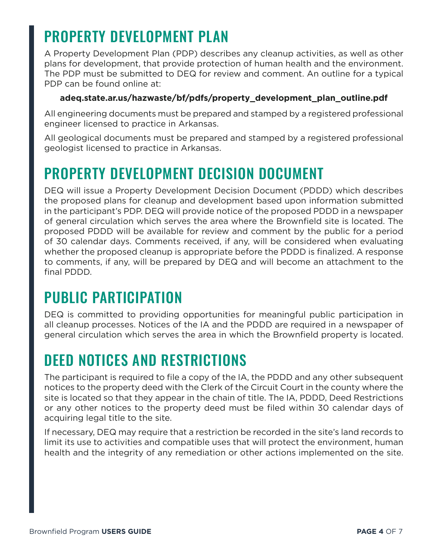## PROPERTY DEVELOPMENT PLAN

A Property Development Plan (PDP) describes any cleanup activities, as well as other plans for development, that provide protection of human health and the environment. The PDP must be submitted to DEQ for review and comment. An outline for a typical PDP can be found online at:

#### **adeq.state.ar.us/hazwaste/bf/pdfs/property\_development\_plan\_outline.pdf**

All engineering documents must be prepared and stamped by a registered professional engineer licensed to practice in Arkansas.

All geological documents must be prepared and stamped by a registered professional geologist licensed to practice in Arkansas.

## PROPERTY DEVELOPMENT DECISION DOCUMENT

DEQ will issue a Property Development Decision Document (PDDD) which describes the proposed plans for cleanup and development based upon information submitted in the participant's PDP. DEQ will provide notice of the proposed PDDD in a newspaper of general circulation which serves the area where the Brownfield site is located. The proposed PDDD will be available for review and comment by the public for a period of 30 calendar days. Comments received, if any, will be considered when evaluating whether the proposed cleanup is appropriate before the PDDD is finalized. A response to comments, if any, will be prepared by DEQ and will become an attachment to the final PDDD.

## PUBLIC PARTICIPATION

DEQ is committed to providing opportunities for meaningful public participation in all cleanup processes. Notices of the IA and the PDDD are required in a newspaper of general circulation which serves the area in which the Brownfield property is located.

## DEED NOTICES AND RESTRICTIONS

The participant is required to file a copy of the IA, the PDDD and any other subsequent notices to the property deed with the Clerk of the Circuit Court in the county where the site is located so that they appear in the chain of title. The IA, PDDD, Deed Restrictions or any other notices to the property deed must be filed within 30 calendar days of acquiring legal title to the site.

If necessary, DEQ may require that a restriction be recorded in the site's land records to limit its use to activities and compatible uses that will protect the environment, human health and the integrity of any remediation or other actions implemented on the site.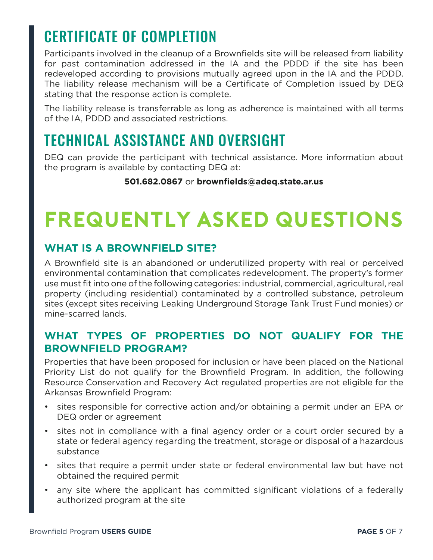## CERTIFICATE OF COMPLETION

Participants involved in the cleanup of a Brownfields site will be released from liability for past contamination addressed in the IA and the PDDD if the site has been redeveloped according to provisions mutually agreed upon in the IA and the PDDD. The liability release mechanism will be a Certificate of Completion issued by DEQ stating that the response action is complete.

The liability release is transferrable as long as adherence is maintained with all terms of the IA, PDDD and associated restrictions.

## TECHNICAL ASSISTANCE AND OVERSIGHT

DEQ can provide the participant with technical assistance. More information about the program is available by contacting DEQ at:

#### **501.682.0867** or **brownfields@adeq.state.ar.us**

## **FREQUENTLY ASKED QUESTIONS**

#### **WHAT IS A BROWNFIELD SITE?**

A Brownfield site is an abandoned or underutilized property with real or perceived environmental contamination that complicates redevelopment. The property's former use must fit into one of the following categories: industrial, commercial, agricultural, real property (including residential) contaminated by a controlled substance, petroleum sites (except sites receiving Leaking Underground Storage Tank Trust Fund monies) or mine-scarred lands.

#### **WHAT TYPES OF PROPERTIES DO NOT QUALIFY FOR THE BROWNFIELD PROGRAM?**

Properties that have been proposed for inclusion or have been placed on the National Priority List do not qualify for the Brownfield Program. In addition, the following Resource Conservation and Recovery Act regulated properties are not eligible for the Arkansas Brownfield Program:

- sites responsible for corrective action and/or obtaining a permit under an EPA or DEQ order or agreement
- sites not in compliance with a final agency order or a court order secured by a state or federal agency regarding the treatment, storage or disposal of a hazardous substance
- sites that require a permit under state or federal environmental law but have not obtained the required permit
- any site where the applicant has committed significant violations of a federally authorized program at the site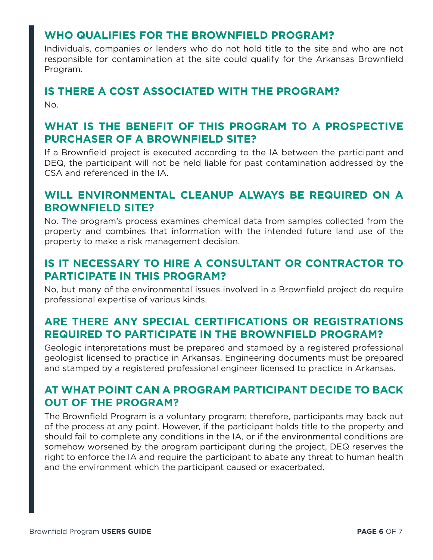#### **WHO QUALIFIES FOR THE BROWNFIELD PROGRAM?**

Individuals, companies or lenders who do not hold title to the site and who are not responsible for contamination at the site could qualify for the Arkansas Brownfield Program.

#### **IS THERE A COST ASSOCIATED WITH THE PROGRAM?**

No.

#### **WHAT IS THE BENEFIT OF THIS PROGRAM TO A PROSPECTIVE PURCHASER OF A BROWNFIELD SITE?**

If a Brownfield project is executed according to the IA between the participant and DEQ, the participant will not be held liable for past contamination addressed by the CSA and referenced in the IA.

#### **WILL ENVIRONMENTAL CLEANUP ALWAYS BE REQUIRED ON A BROWNFIELD SITE?**

No. The program's process examines chemical data from samples collected from the property and combines that information with the intended future land use of the property to make a risk management decision.

#### **IS IT NECESSARY TO HIRE A CONSULTANT OR CONTRACTOR TO PARTICIPATE IN THIS PROGRAM?**

No, but many of the environmental issues involved in a Brownfield project do require professional expertise of various kinds.

#### **ARE THERE ANY SPECIAL CERTIFICATIONS OR REGISTRATIONS REQUIRED TO PARTICIPATE IN THE BROWNFIELD PROGRAM?**

Geologic interpretations must be prepared and stamped by a registered professional geologist licensed to practice in Arkansas. Engineering documents must be prepared and stamped by a registered professional engineer licensed to practice in Arkansas.

#### **AT WHAT POINT CAN A PROGRAM PARTICIPANT DECIDE TO BACK OUT OF THE PROGRAM?**

The Brownfield Program is a voluntary program; therefore, participants may back out of the process at any point. However, if the participant holds title to the property and should fail to complete any conditions in the IA, or if the environmental conditions are somehow worsened by the program participant during the project, DEQ reserves the right to enforce the IA and require the participant to abate any threat to human health and the environment which the participant caused or exacerbated.